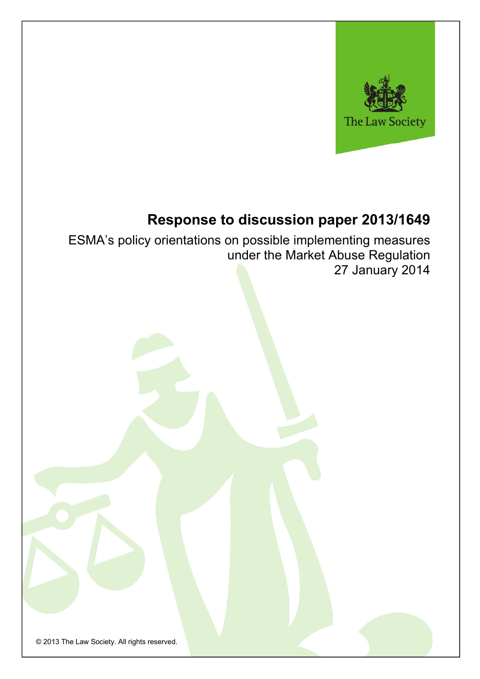

# **Response to discussion paper 2013/1649**

ESMA's policy orientations on possible implementing measures under the Market Abuse Regulation 27 January 2014

© 2013 The Law Society. All rights reserved.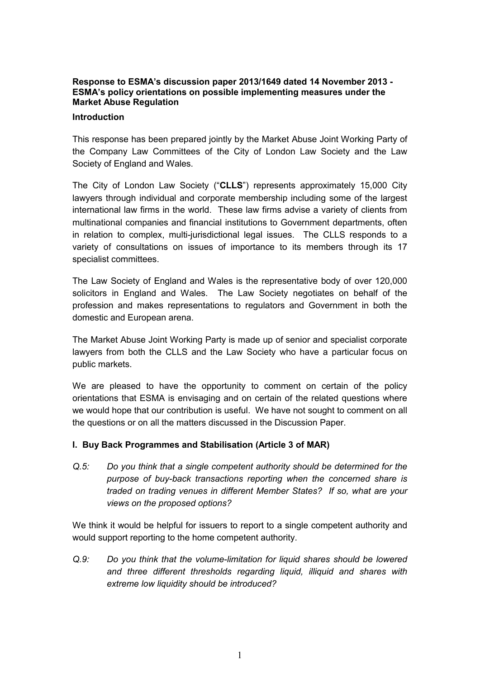### **Response to ESMA's discussion paper 2013/1649 dated 14 November 2013 - ESMA's policy orientations on possible implementing measures under the Market Abuse Regulation**

#### **Introduction**

This response has been prepared jointly by the Market Abuse Joint Working Party of the Company Law Committees of the City of London Law Society and the Law Society of England and Wales.

The City of London Law Society ("**CLLS**") represents approximately 15,000 City lawyers through individual and corporate membership including some of the largest international law firms in the world. These law firms advise a variety of clients from multinational companies and financial institutions to Government departments, often in relation to complex, multi-jurisdictional legal issues. The CLLS responds to a variety of consultations on issues of importance to its members through its 17 specialist committees.

The Law Society of England and Wales is the representative body of over 120,000 solicitors in England and Wales. The Law Society negotiates on behalf of the profession and makes representations to regulators and Government in both the domestic and European arena.

The Market Abuse Joint Working Party is made up of senior and specialist corporate lawyers from both the CLLS and the Law Society who have a particular focus on public markets.

We are pleased to have the opportunity to comment on certain of the policy orientations that ESMA is envisaging and on certain of the related questions where we would hope that our contribution is useful. We have not sought to comment on all the questions or on all the matters discussed in the Discussion Paper.

#### **I. Buy Back Programmes and Stabilisation (Article 3 of MAR)**

*Q.5: Do you think that a single competent authority should be determined for the purpose of buy-back transactions reporting when the concerned share is traded on trading venues in different Member States? If so, what are your views on the proposed options?*

We think it would be helpful for issuers to report to a single competent authority and would support reporting to the home competent authority.

*Q.9: Do you think that the volume-limitation for liquid shares should be lowered and three different thresholds regarding liquid, illiquid and shares with extreme low liquidity should be introduced?*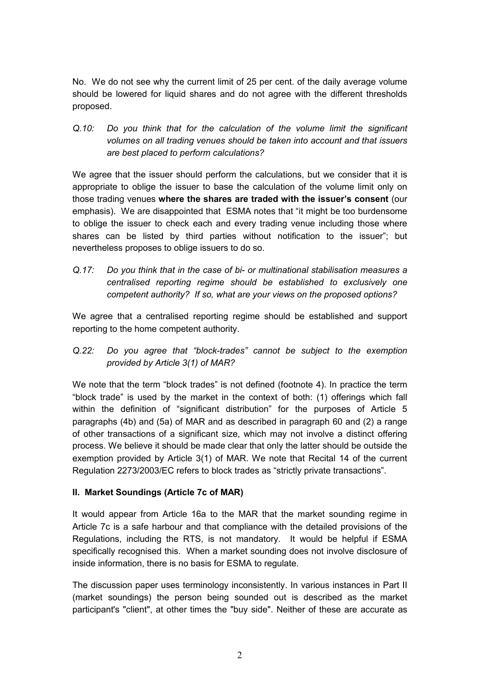No. We do not see why the current limit of 25 per cent. of the daily average volume should be lowered for liquid shares and do not agree with the different thresholds proposed.

*Q.10: Do you think that for the calculation of the volume limit the significant volumes on all trading venues should be taken into account and that issuers are best placed to perform calculations?*

We agree that the issuer should perform the calculations, but we consider that it is appropriate to oblige the issuer to base the calculation of the volume limit only on those trading venues **where the shares are traded with the issuer's consent** (our emphasis). We are disappointed that ESMA notes that "it might be too burdensome to oblige the issuer to check each and every trading venue including those where shares can be listed by third parties without notification to the issuer"; but nevertheless proposes to oblige issuers to do so.

*Q.17: Do you think that in the case of bi- or multinational stabilisation measures a centralised reporting regime should be established to exclusively one competent authority? If so, what are your views on the proposed options?*

We agree that a centralised reporting regime should be established and support reporting to the home competent authority.

*Q.22: Do you agree that "block-trades" cannot be subject to the exemption provided by Article 3(1) of MAR?*

We note that the term "block trades" is not defined (footnote 4). In practice the term "block trade" is used by the market in the context of both: (1) offerings which fall within the definition of "significant distribution" for the purposes of Article 5 paragraphs (4b) and (5a) of MAR and as described in paragraph 60 and (2) a range of other transactions of a significant size, which may not involve a distinct offering process. We believe it should be made clear that only the latter should be outside the exemption provided by Article 3(1) of MAR. We note that Recital 14 of the current Regulation 2273/2003/EC refers to block trades as "strictly private transactions".

## **II. Market Soundings (Article 7c of MAR)**

It would appear from Article 16a to the MAR that the market sounding regime in Article 7c is a safe harbour and that compliance with the detailed provisions of the Regulations, including the RTS, is not mandatory. It would be helpful if ESMA specifically recognised this. When a market sounding does not involve disclosure of inside information, there is no basis for ESMA to regulate.

The discussion paper uses terminology inconsistently. In various instances in Part II (market soundings) the person being sounded out is described as the market participant's "client", at other times the "buy side". Neither of these are accurate as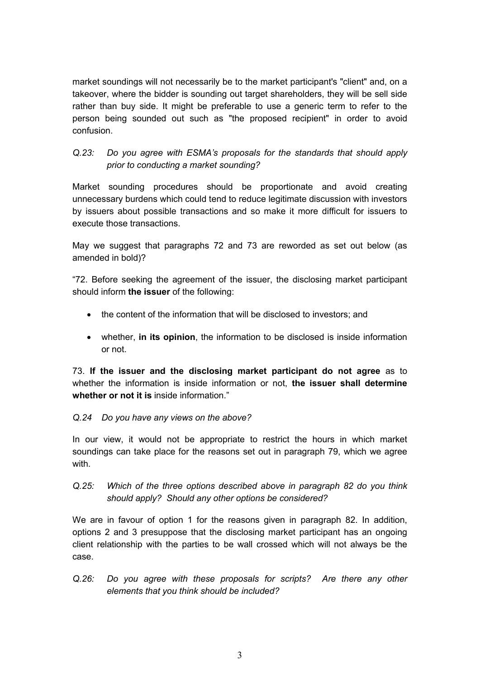market soundings will not necessarily be to the market participant's "client" and, on a takeover, where the bidder is sounding out target shareholders, they will be sell side rather than buy side. It might be preferable to use a generic term to refer to the person being sounded out such as "the proposed recipient" in order to avoid confusion.

## *Q.23: Do you agree with ESMA's proposals for the standards that should apply prior to conducting a market sounding?*

Market sounding procedures should be proportionate and avoid creating unnecessary burdens which could tend to reduce legitimate discussion with investors by issuers about possible transactions and so make it more difficult for issuers to execute those transactions.

May we suggest that paragraphs 72 and 73 are reworded as set out below (as amended in bold)?

"72. Before seeking the agreement of the issuer, the disclosing market participant should inform **the issuer** of the following:

- the content of the information that will be disclosed to investors; and
- whether, **in its opinion**, the information to be disclosed is inside information or not.

73. **If the issuer and the disclosing market participant do not agree** as to whether the information is inside information or not, **the issuer shall determine whether or not it is** inside information."

## *Q.24 Do you have any views on the above?*

In our view, it would not be appropriate to restrict the hours in which market soundings can take place for the reasons set out in paragraph 79, which we agree with.

## *Q.25: Which of the three options described above in paragraph 82 do you think should apply? Should any other options be considered?*

We are in favour of option 1 for the reasons given in paragraph 82. In addition, options 2 and 3 presuppose that the disclosing market participant has an ongoing client relationship with the parties to be wall crossed which will not always be the case.

*Q.26: Do you agree with these proposals for scripts? Are there any other elements that you think should be included?*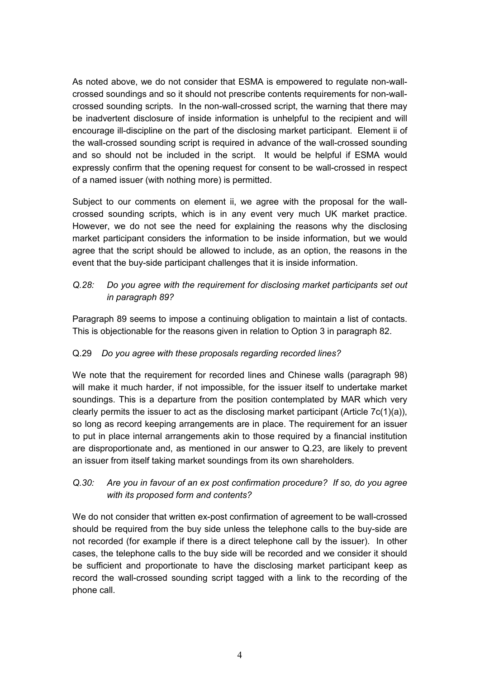As noted above, we do not consider that ESMA is empowered to regulate non-wallcrossed soundings and so it should not prescribe contents requirements for non-wallcrossed sounding scripts. In the non-wall-crossed script, the warning that there may be inadvertent disclosure of inside information is unhelpful to the recipient and will encourage ill-discipline on the part of the disclosing market participant. Element ii of the wall-crossed sounding script is required in advance of the wall-crossed sounding and so should not be included in the script. It would be helpful if ESMA would expressly confirm that the opening request for consent to be wall-crossed in respect of a named issuer (with nothing more) is permitted.

Subject to our comments on element ii, we agree with the proposal for the wallcrossed sounding scripts, which is in any event very much UK market practice. However, we do not see the need for explaining the reasons why the disclosing market participant considers the information to be inside information, but we would agree that the script should be allowed to include, as an option, the reasons in the event that the buy-side participant challenges that it is inside information.

## *Q.28: Do you agree with the requirement for disclosing market participants set out in paragraph 89?*

Paragraph 89 seems to impose a continuing obligation to maintain a list of contacts. This is objectionable for the reasons given in relation to Option 3 in paragraph 82.

## Q.29 *Do you agree with these proposals regarding recorded lines?*

We note that the requirement for recorded lines and Chinese walls (paragraph 98) will make it much harder, if not impossible, for the issuer itself to undertake market soundings. This is a departure from the position contemplated by MAR which very clearly permits the issuer to act as the disclosing market participant (Article  $7c(1)(a)$ ). so long as record keeping arrangements are in place. The requirement for an issuer to put in place internal arrangements akin to those required by a financial institution are disproportionate and, as mentioned in our answer to Q.23, are likely to prevent an issuer from itself taking market soundings from its own shareholders*.*

# *Q.30: Are you in favour of an ex post confirmation procedure? If so, do you agree with its proposed form and contents?*

We do not consider that written ex-post confirmation of agreement to be wall-crossed should be required from the buy side unless the telephone calls to the buy-side are not recorded (for example if there is a direct telephone call by the issuer). In other cases, the telephone calls to the buy side will be recorded and we consider it should be sufficient and proportionate to have the disclosing market participant keep as record the wall-crossed sounding script tagged with a link to the recording of the phone call.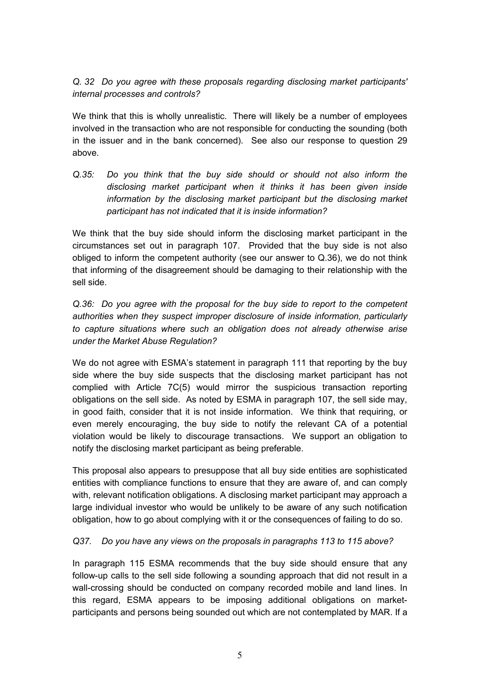# *Q. 32 Do you agree with these proposals regarding disclosing market participants' internal processes and controls?*

We think that this is wholly unrealistic. There will likely be a number of employees involved in the transaction who are not responsible for conducting the sounding (both in the issuer and in the bank concerned). See also our response to question 29 above.

*Q.35: Do you think that the buy side should or should not also inform the disclosing market participant when it thinks it has been given inside information by the disclosing market participant but the disclosing market participant has not indicated that it is inside information?*

We think that the buy side should inform the disclosing market participant in the circumstances set out in paragraph 107. Provided that the buy side is not also obliged to inform the competent authority (see our answer to Q.36), we do not think that informing of the disagreement should be damaging to their relationship with the sell side.

*Q.36: Do you agree with the proposal for the buy side to report to the competent authorities when they suspect improper disclosure of inside information, particularly to capture situations where such an obligation does not already otherwise arise under the Market Abuse Regulation?*

We do not agree with ESMA's statement in paragraph 111 that reporting by the buy side where the buy side suspects that the disclosing market participant has not complied with Article 7C(5) would mirror the suspicious transaction reporting obligations on the sell side. As noted by ESMA in paragraph 107, the sell side may, in good faith, consider that it is not inside information. We think that requiring, or even merely encouraging, the buy side to notify the relevant CA of a potential violation would be likely to discourage transactions. We support an obligation to notify the disclosing market participant as being preferable.

This proposal also appears to presuppose that all buy side entities are sophisticated entities with compliance functions to ensure that they are aware of, and can comply with, relevant notification obligations. A disclosing market participant may approach a large individual investor who would be unlikely to be aware of any such notification obligation, how to go about complying with it or the consequences of failing to do so.

## *Q37. Do you have any views on the proposals in paragraphs 113 to 115 above?*

In paragraph 115 ESMA recommends that the buy side should ensure that any follow-up calls to the sell side following a sounding approach that did not result in a wall-crossing should be conducted on company recorded mobile and land lines. In this regard, ESMA appears to be imposing additional obligations on marketparticipants and persons being sounded out which are not contemplated by MAR. If a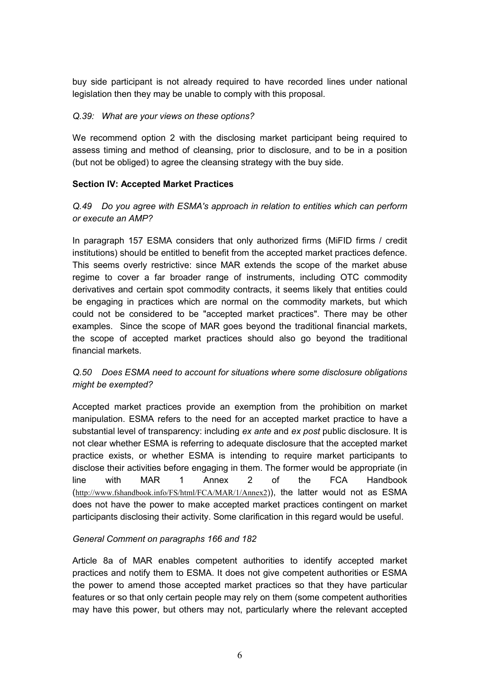buy side participant is not already required to have recorded lines under national legislation then they may be unable to comply with this proposal.

#### *Q.39: What are your views on these options?*

We recommend option 2 with the disclosing market participant being required to assess timing and method of cleansing, prior to disclosure, and to be in a position (but not be obliged) to agree the cleansing strategy with the buy side.

### **Section IV: Accepted Market Practices**

## *Q.49 Do you agree with ESMA's approach in relation to entities which can perform or execute an AMP?*

In paragraph 157 ESMA considers that only authorized firms (MiFID firms / credit institutions) should be entitled to benefit from the accepted market practices defence. This seems overly restrictive: since MAR extends the scope of the market abuse regime to cover a far broader range of instruments, including OTC commodity derivatives and certain spot commodity contracts, it seems likely that entities could be engaging in practices which are normal on the commodity markets, but which could not be considered to be "accepted market practices". There may be other examples. Since the scope of MAR goes beyond the traditional financial markets, the scope of accepted market practices should also go beyond the traditional financial markets.

# *Q.50 Does ESMA need to account for situations where some disclosure obligations might be exempted?*

Accepted market practices provide an exemption from the prohibition on market manipulation. ESMA refers to the need for an accepted market practice to have a substantial level of transparency: including *ex ante* and *ex post* public disclosure. It is not clear whether ESMA is referring to adequate disclosure that the accepted market practice exists, or whether ESMA is intending to require market participants to disclose their activities before engaging in them. The former would be appropriate (in line with MAR 1 Annex 2 of the FCA Handbook (http://www.fshandbook.info/FS/html/FCA/MAR/1/Annex2)), the latter would not as ESMA does not have the power to make accepted market practices contingent on market participants disclosing their activity. Some clarification in this regard would be useful.

#### *General Comment on paragraphs 166 and 182*

Article 8a of MAR enables competent authorities to identify accepted market practices and notify them to ESMA. It does not give competent authorities or ESMA the power to amend those accepted market practices so that they have particular features or so that only certain people may rely on them (some competent authorities may have this power, but others may not, particularly where the relevant accepted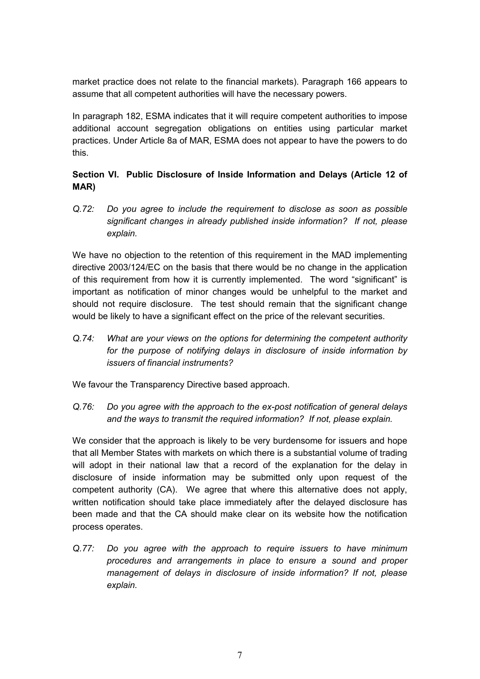market practice does not relate to the financial markets). Paragraph 166 appears to assume that all competent authorities will have the necessary powers.

In paragraph 182, ESMA indicates that it will require competent authorities to impose additional account segregation obligations on entities using particular market practices. Under Article 8a of MAR, ESMA does not appear to have the powers to do this.

# **Section VI. Public Disclosure of Inside Information and Delays (Article 12 of MAR)**

*Q.72: Do you agree to include the requirement to disclose as soon as possible significant changes in already published inside information? If not, please explain.*

We have no objection to the retention of this requirement in the MAD implementing directive 2003/124/EC on the basis that there would be no change in the application of this requirement from how it is currently implemented. The word "significant" is important as notification of minor changes would be unhelpful to the market and should not require disclosure. The test should remain that the significant change would be likely to have a significant effect on the price of the relevant securities.

*Q.74: What are your views on the options for determining the competent authority for the purpose of notifying delays in disclosure of inside information by issuers of financial instruments?*

We favour the Transparency Directive based approach.

*Q.76: Do you agree with the approach to the ex-post notification of general delays and the ways to transmit the required information? If not, please explain.*

We consider that the approach is likely to be very burdensome for issuers and hope that all Member States with markets on which there is a substantial volume of trading will adopt in their national law that a record of the explanation for the delay in disclosure of inside information may be submitted only upon request of the competent authority (CA). We agree that where this alternative does not apply, written notification should take place immediately after the delayed disclosure has been made and that the CA should make clear on its website how the notification process operates.

*Q.77: Do you agree with the approach to require issuers to have minimum procedures and arrangements in place to ensure a sound and proper management of delays in disclosure of inside information? If not, please explain.*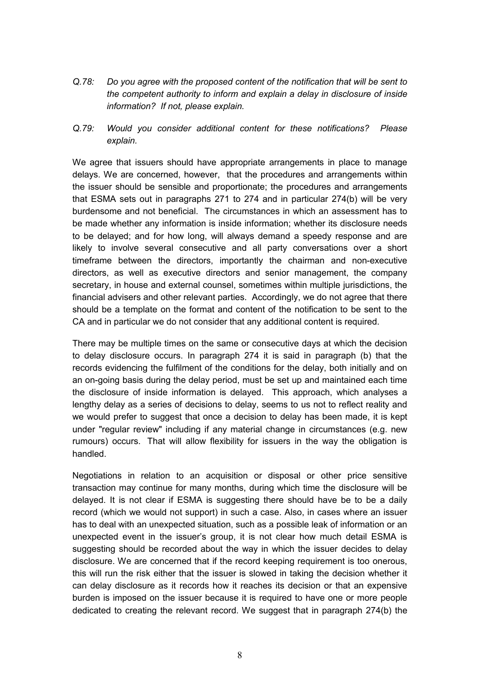- *Q.78: Do you agree with the proposed content of the notification that will be sent to the competent authority to inform and explain a delay in disclosure of inside information? If not, please explain.*
- *Q.79: Would you consider additional content for these notifications? Please explain.*

We agree that issuers should have appropriate arrangements in place to manage delays. We are concerned, however, that the procedures and arrangements within the issuer should be sensible and proportionate; the procedures and arrangements that ESMA sets out in paragraphs 271 to 274 and in particular 274(b) will be very burdensome and not beneficial. The circumstances in which an assessment has to be made whether any information is inside information; whether its disclosure needs to be delayed; and for how long, will always demand a speedy response and are likely to involve several consecutive and all party conversations over a short timeframe between the directors, importantly the chairman and non-executive directors, as well as executive directors and senior management, the company secretary, in house and external counsel, sometimes within multiple jurisdictions, the financial advisers and other relevant parties. Accordingly, we do not agree that there should be a template on the format and content of the notification to be sent to the CA and in particular we do not consider that any additional content is required.

There may be multiple times on the same or consecutive days at which the decision to delay disclosure occurs. In paragraph 274 it is said in paragraph (b) that the records evidencing the fulfilment of the conditions for the delay, both initially and on an on-going basis during the delay period, must be set up and maintained each time the disclosure of inside information is delayed. This approach, which analyses a lengthy delay as a series of decisions to delay, seems to us not to reflect reality and we would prefer to suggest that once a decision to delay has been made, it is kept under "regular review" including if any material change in circumstances (e.g. new rumours) occurs. That will allow flexibility for issuers in the way the obligation is handled.

Negotiations in relation to an acquisition or disposal or other price sensitive transaction may continue for many months, during which time the disclosure will be delayed. It is not clear if ESMA is suggesting there should have be to be a daily record (which we would not support) in such a case. Also, in cases where an issuer has to deal with an unexpected situation, such as a possible leak of information or an unexpected event in the issuer's group, it is not clear how much detail ESMA is suggesting should be recorded about the way in which the issuer decides to delay disclosure. We are concerned that if the record keeping requirement is too onerous, this will run the risk either that the issuer is slowed in taking the decision whether it can delay disclosure as it records how it reaches its decision or that an expensive burden is imposed on the issuer because it is required to have one or more people dedicated to creating the relevant record. We suggest that in paragraph 274(b) the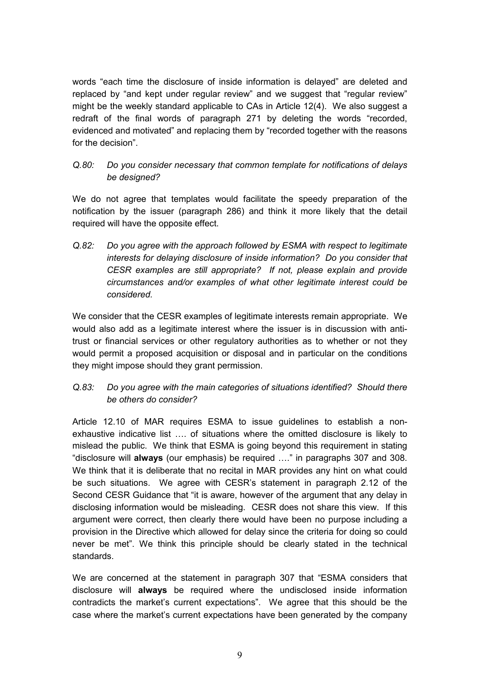words "each time the disclosure of inside information is delayed" are deleted and replaced by "and kept under regular review" and we suggest that "regular review" might be the weekly standard applicable to CAs in Article 12(4). We also suggest a redraft of the final words of paragraph 271 by deleting the words "recorded, evidenced and motivated" and replacing them by "recorded together with the reasons for the decision".

# *Q.80: Do you consider necessary that common template for notifications of delays be designed?*

We do not agree that templates would facilitate the speedy preparation of the notification by the issuer (paragraph 286) and think it more likely that the detail required will have the opposite effect.

*Q.82: Do you agree with the approach followed by ESMA with respect to legitimate interests for delaying disclosure of inside information? Do you consider that CESR examples are still appropriate? If not, please explain and provide circumstances and/or examples of what other legitimate interest could be considered.*

We consider that the CESR examples of legitimate interests remain appropriate. We would also add as a legitimate interest where the issuer is in discussion with antitrust or financial services or other regulatory authorities as to whether or not they would permit a proposed acquisition or disposal and in particular on the conditions they might impose should they grant permission.

# *Q.83: Do you agree with the main categories of situations identified? Should there be others do consider?*

Article 12.10 of MAR requires ESMA to issue guidelines to establish a nonexhaustive indicative list …. of situations where the omitted disclosure is likely to mislead the public. We think that ESMA is going beyond this requirement in stating "disclosure will **always** (our emphasis) be required …." in paragraphs 307 and 308. We think that it is deliberate that no recital in MAR provides any hint on what could be such situations. We agree with CESR's statement in paragraph 2.12 of the Second CESR Guidance that "it is aware, however of the argument that any delay in disclosing information would be misleading. CESR does not share this view. If this argument were correct, then clearly there would have been no purpose including a provision in the Directive which allowed for delay since the criteria for doing so could never be met". We think this principle should be clearly stated in the technical standards.

We are concerned at the statement in paragraph 307 that "ESMA considers that disclosure will **always** be required where the undisclosed inside information contradicts the market's current expectations". We agree that this should be the case where the market's current expectations have been generated by the company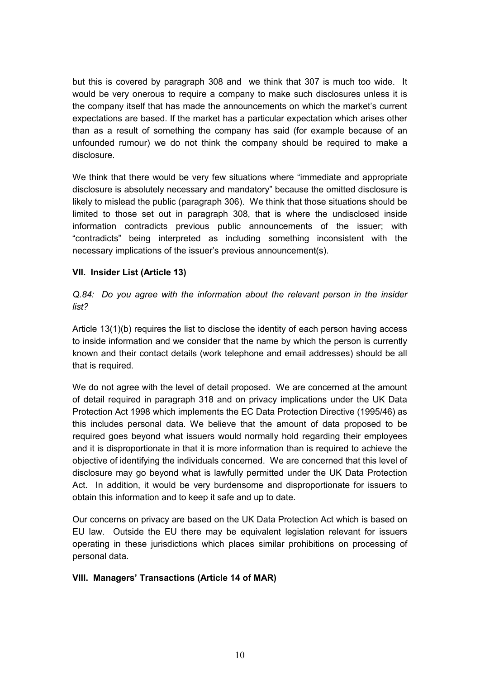but this is covered by paragraph 308 and we think that 307 is much too wide. It would be very onerous to require a company to make such disclosures unless it is the company itself that has made the announcements on which the market's current expectations are based. If the market has a particular expectation which arises other than as a result of something the company has said (for example because of an unfounded rumour) we do not think the company should be required to make a disclosure.

We think that there would be very few situations where "immediate and appropriate disclosure is absolutely necessary and mandatory" because the omitted disclosure is likely to mislead the public (paragraph 306). We think that those situations should be limited to those set out in paragraph 308, that is where the undisclosed inside information contradicts previous public announcements of the issuer; with "contradicts" being interpreted as including something inconsistent with the necessary implications of the issuer's previous announcement(s).

### **VII. Insider List (Article 13)**

## *Q.84: Do you agree with the information about the relevant person in the insider list?*

Article 13(1)(b) requires the list to disclose the identity of each person having access to inside information and we consider that the name by which the person is currently known and their contact details (work telephone and email addresses) should be all that is required.

We do not agree with the level of detail proposed. We are concerned at the amount of detail required in paragraph 318 and on privacy implications under the UK Data Protection Act 1998 which implements the EC Data Protection Directive (1995/46) as this includes personal data. We believe that the amount of data proposed to be required goes beyond what issuers would normally hold regarding their employees and it is disproportionate in that it is more information than is required to achieve the objective of identifying the individuals concerned. We are concerned that this level of disclosure may go beyond what is lawfully permitted under the UK Data Protection Act. In addition, it would be very burdensome and disproportionate for issuers to obtain this information and to keep it safe and up to date.

Our concerns on privacy are based on the UK Data Protection Act which is based on EU law. Outside the EU there may be equivalent legislation relevant for issuers operating in these jurisdictions which places similar prohibitions on processing of personal data.

#### **VIII. Managers' Transactions (Article 14 of MAR)**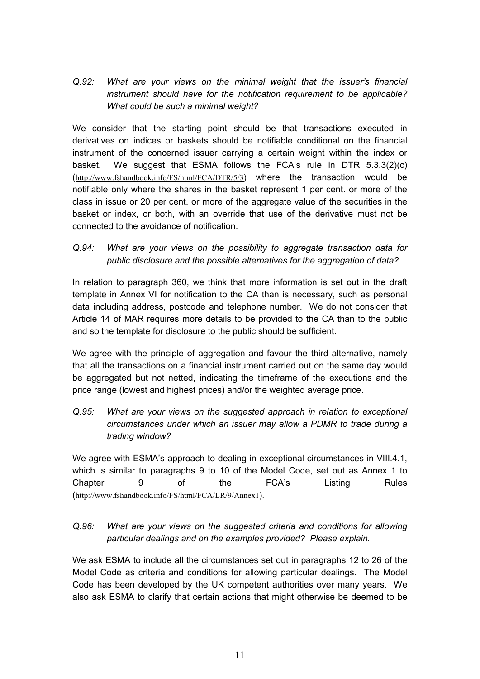*Q.92: What are your views on the minimal weight that the issuer's financial instrument should have for the notification requirement to be applicable? What could be such a minimal weight?*

We consider that the starting point should be that transactions executed in derivatives on indices or baskets should be notifiable conditional on the financial instrument of the concerned issuer carrying a certain weight within the index or basket. We suggest that ESMA follows the FCA's rule in DTR 5.3.3(2)(c) (http://www.fshandbook.info/FS/html/FCA/DTR/5/3) where the transaction would be notifiable only where the shares in the basket represent 1 per cent. or more of the class in issue or 20 per cent. or more of the aggregate value of the securities in the basket or index, or both, with an override that use of the derivative must not be connected to the avoidance of notification.

*Q.94: What are your views on the possibility to aggregate transaction data for public disclosure and the possible alternatives for the aggregation of data?*

In relation to paragraph 360, we think that more information is set out in the draft template in Annex VI for notification to the CA than is necessary, such as personal data including address, postcode and telephone number. We do not consider that Article 14 of MAR requires more details to be provided to the CA than to the public and so the template for disclosure to the public should be sufficient.

We agree with the principle of aggregation and favour the third alternative, namely that all the transactions on a financial instrument carried out on the same day would be aggregated but not netted, indicating the timeframe of the executions and the price range (lowest and highest prices) and/or the weighted average price.

*Q.95: What are your views on the suggested approach in relation to exceptional circumstances under which an issuer may allow a PDMR to trade during a trading window?*

We agree with ESMA's approach to dealing in exceptional circumstances in VIII.4.1, which is similar to paragraphs 9 to 10 of the Model Code, set out as Annex 1 to Chapter 9 of the FCA's Listing Rules (http://www.fshandbook.info/FS/html/FCA/LR/9/Annex1).

*Q.96: What are your views on the suggested criteria and conditions for allowing particular dealings and on the examples provided? Please explain.*

We ask ESMA to include all the circumstances set out in paragraphs 12 to 26 of the Model Code as criteria and conditions for allowing particular dealings. The Model Code has been developed by the UK competent authorities over many years. We also ask ESMA to clarify that certain actions that might otherwise be deemed to be